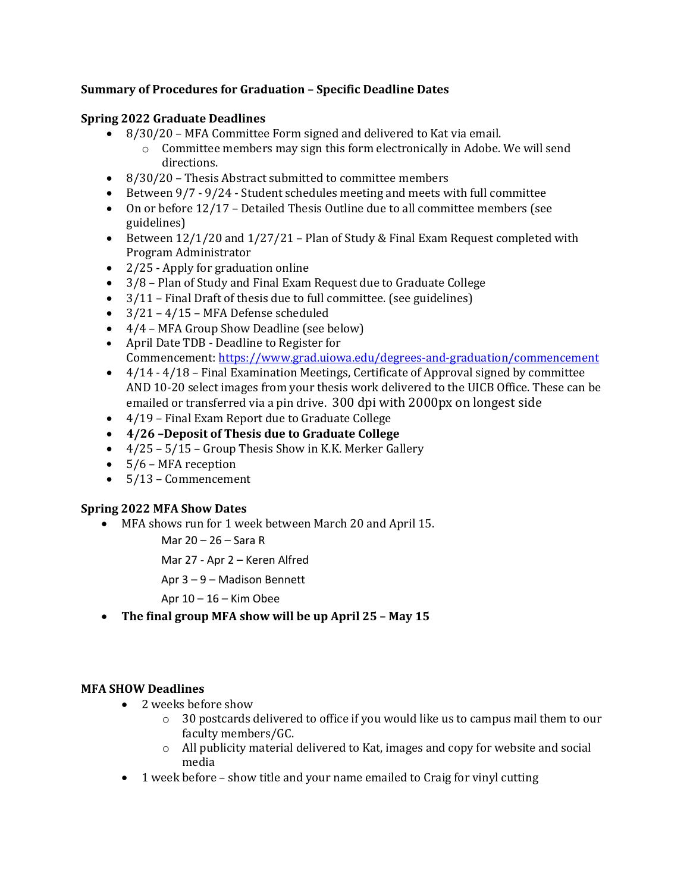## **Summary of Procedures for Graduation - Specific Deadline Dates**

### **Spring 2022 Graduate Deadlines**

- $8/30/20$  MFA Committee Form signed and delivered to Kat via email.
	- $\circ$  Committee members may sign this form electronically in Adobe. We will send directions.
- $\bullet$  8/30/20 Thesis Abstract submitted to committee members
- Between  $9/7 9/24$  Student schedules meeting and meets with full committee
- On or before 12/17 Detailed Thesis Outline due to all committee members (see guidelines)
- Between  $12/1/20$  and  $1/27/21$  Plan of Study & Final Exam Request completed with Program Administrator
- $2/25$  Apply for graduation online
- $3/8$  Plan of Study and Final Exam Request due to Graduate College
- $3/11$  Final Draft of thesis due to full committee. (see guidelines)
- $3/21 4/15$  MFA Defense scheduled
- $\bullet$  4/4 MFA Group Show Deadline (see below)
- April Date TDB Deadline to Register for Commencement: https://www.grad.uiowa.edu/degrees-and-graduation/commencement
- $4/14 4/18$  Final Examination Meetings, Certificate of Approval signed by committee AND 10-20 select images from your thesis work delivered to the UICB Office. These can be emailed or transferred via a pin drive. 300 dpi with 2000px on longest side
- $\bullet$  4/19 Final Exam Report due to Graduate College
- **4/26 –Deposit of Thesis due to Graduate College**
- $4/25 5/15$  Group Thesis Show in K.K. Merker Gallery
- $\bullet$  5/6 MFA reception
- 5/13 Commencement

#### **Spring 2022 MFA Show Dates**

• MFA shows run for 1 week between March 20 and April 15.

Mar 20 – 26 – Sara R

Mar 27 - Apr 2 – Keren Alfred

Apr 3 – 9 – Madison Bennett

Apr  $10 - 16$  – Kim Obee

• The final group MFA show will be up April 25 - May 15

#### **MFA SHOW Deadlines**

- 2 weeks before show
	- $\circ$  30 postcards delivered to office if you would like us to campus mail them to our faculty members/GC.
	- $\circ$  All publicity material delivered to Kat, images and copy for website and social media
- 1 week before show title and your name emailed to Craig for vinyl cutting